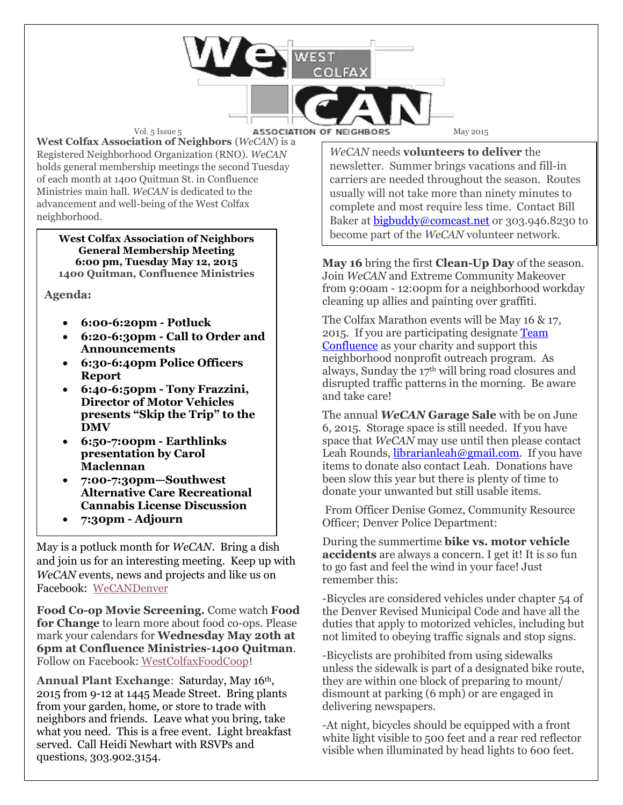Vol. 5 Issue 5 **ASSOCIATION OF NEIGHBORS** May 2015

**West Colfax Association of Neighbors** (*WeCAN*) is a Registered Neighborhood Organization (RNO). *WeCAN*  holds general membership meetings the second Tuesday of each month at 1400 Quitman St. in Confluence Ministries main hall. *WeCAN* is dedicated to the advancement and well-being of the West Colfax neighborhood.

**West Colfax Association of Neighbors General Membership Meeting 6:00 pm, Tuesday May 12, 2015 1400 Quitman, Confluence Ministries** 

**Agenda:**

- **6:00-6:20pm - Potluck**
- **6:20-6:30pm - Call to Order and Announcements**
- **6:30-6:40pm Police Officers Report**
- **6:40-6:50pm - Tony Frazzini, Director of Motor Vehicles presents "Skip the Trip" to the DMV**
- **6:50-7:00pm - Earthlinks presentation by Carol Maclennan**
- **7:00-7:30pm—Southwest Alternative Care Recreational Cannabis License Discussion**
- **7:30pm - Adjourn**

May is a potluck month for *WeCAN*. Bring a dish and join us for an interesting meeting. Keep up with *WeCAN* events, news and projects and like us on Facebook: [WeCANDenver](https://www.facebook.com/WeCANDenver)

**Food Co-op Movie Screening.** Come watch **Food for Change** to learn more about food co-ops. Please mark your calendars for **Wednesday May 20th at 6pm at Confluence Ministries-1400 Quitman**. Follow on Facebook: [WestColfaxFoodCoop](https://www.facebook.com/WestColfaxFoodCoop)!

Annual Plant Exchange: Saturday, May 16<sup>th</sup>, 2015 from 9-12 at 1445 Meade Street. Bring plants from your garden, home, or store to trade with neighbors and friends. Leave what you bring, take what you need. This is a free event. Light breakfast served. Call Heidi Newhart with RSVPs and questions, 303.902.3154.

*WeCAN* needs **volunteers to deliver** the newsletter. Summer brings vacations and fill-in carriers are needed throughout the season. Routes usually will not take more than ninety minutes to complete and most require less time. Contact Bill Baker at [bigbuddy@comcast.net](mailto:bigbuddy@comcast.net) or 303.946.8230 to become part of the *WeCAN* volunteer network.

**May 16** bring the first **Clean-Up Day** of the season. Join *WeCAN* and Extreme Community Makeover from 9:00am - 12:00pm for a neighborhood workday cleaning up allies and painting over graffiti.

The Colfax Marathon events will be May 16 & 17, 2015. If you are participating designat[e Team](http://www.runcolfax.org/confluence-ministries/) [Confluence](http://www.runcolfax.org/confluence-ministries/) as your charity and support this neighborhood nonprofit outreach program. As always, Sunday the 17th will bring road closures and disrupted traffic patterns in the morning. Be aware and take care!

The annual *WeCAN* **Garage Sale** with be on June 6, 2015. Storage space is still needed. If you have space that *WeCAN* may use until then please contact Leah Rounds, [librarianleah@gmail.com.](mailto:librarianleah@gmail.com) If you have items to donate also contact Leah. Donations have been slow this year but there is plenty of time to donate your unwanted but still usable items.

From Officer Denise Gomez, Community Resource Officer; Denver Police Department:

During the summertime **bike vs. motor vehicle accidents** are always a concern. I get it! It is so fun to go fast and feel the wind in your face! Just remember this:

-Bicycles are considered vehicles under chapter 54 of the Denver Revised Municipal Code and have all the duties that apply to motorized vehicles, including but not limited to obeying traffic signals and stop signs.

-Bicyclists are prohibited from using sidewalks unless the sidewalk is part of a designated bike route, they are within one block of preparing to mount/ dismount at parking (6 mph) or are engaged in delivering newspapers.

-At night, bicycles should be equipped with a front white light visible to 500 feet and a rear red reflector visible when illuminated by head lights to 600 feet.